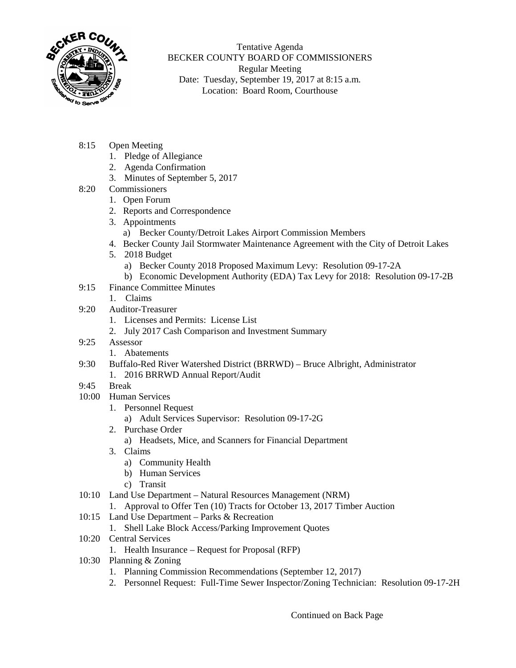

Tentative Agenda BECKER COUNTY BOARD OF COMMISSIONERS Regular Meeting Date: Tuesday, September 19, 2017 at 8:15 a.m. Location: Board Room, Courthouse

- 8:15 Open Meeting
	- 1. Pledge of Allegiance
	- 2. Agenda Confirmation
	- 3. Minutes of September 5, 2017
- 8:20 Commissioners
	- 1. Open Forum
	- 2. Reports and Correspondence
	- 3. Appointments
		- a) Becker County/Detroit Lakes Airport Commission Members
	- 4. Becker County Jail Stormwater Maintenance Agreement with the City of Detroit Lakes
	- 5. 2018 Budget
		- a) Becker County 2018 Proposed Maximum Levy: Resolution 09-17-2A
	- b) Economic Development Authority (EDA) Tax Levy for 2018: Resolution 09-17-2B
- 9:15 Finance Committee Minutes
	- 1. Claims
- 9:20 Auditor-Treasurer
	- 1. Licenses and Permits: License List
	- 2. July 2017 Cash Comparison and Investment Summary
- 9:25 Assessor
	- 1. Abatements
- 9:30 Buffalo-Red River Watershed District (BRRWD) Bruce Albright, Administrator 1. 2016 BRRWD Annual Report/Audit
- 9:45 Break
- 10:00 Human Services
	- 1. Personnel Request
		- a) Adult Services Supervisor: Resolution 09-17-2G
	- 2. Purchase Order
		- a) Headsets, Mice, and Scanners for Financial Department
	- 3. Claims
		- a) Community Health
		- b) Human Services
		- c) Transit
- 10:10 Land Use Department Natural Resources Management (NRM)
	- 1. Approval to Offer Ten (10) Tracts for October 13, 2017 Timber Auction
- 10:15 Land Use Department Parks & Recreation
	- 1. Shell Lake Block Access/Parking Improvement Quotes
- 10:20 Central Services
	- 1. Health Insurance Request for Proposal (RFP)
- 10:30 Planning & Zoning
	- 1. Planning Commission Recommendations (September 12, 2017)
	- 2. Personnel Request: Full-Time Sewer Inspector/Zoning Technician: Resolution 09-17-2H